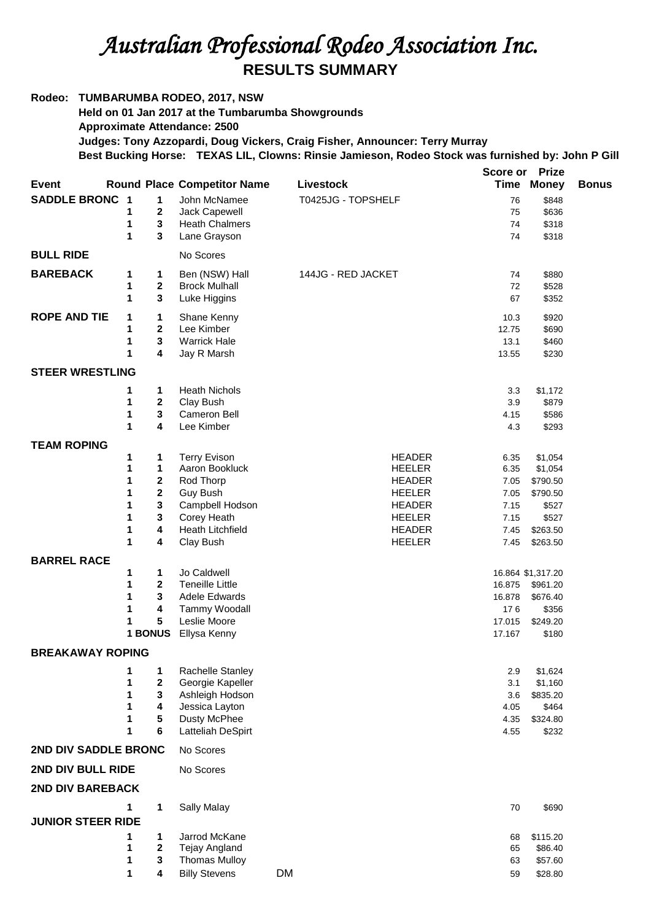## *Australian Professional Rodeo Association Inc.*  **RESULTS SUMMARY**

## **Rodeo: TUMBARUMBA RODEO, 2017, NSW**

**Held on 01 Jan 2017 at the Tumbarumba Showgrounds Approximate Attendance: 2500 Judges: Tony Azzopardi, Doug Vickers, Craig Fisher, Announcer: Terry Murray**

**Best Bucking Horse: TEXAS LIL, Clowns: Rinsie Jamieson, Rodeo Stock was furnished by: John P Gill**

|                             |        |                |                                     |                                | <b>Score or</b> | <b>Prize</b>      |              |
|-----------------------------|--------|----------------|-------------------------------------|--------------------------------|-----------------|-------------------|--------------|
| <b>Event</b>                |        |                | <b>Round Place Competitor Name</b>  | Livestock                      | Time            | <b>Money</b>      | <b>Bonus</b> |
| <b>SADDLE BRONC 1</b>       |        | 1              | John McNamee                        | T0425JG - TOPSHELF             | 76              | \$848             |              |
|                             | 1      | $\mathbf{2}$   | Jack Capewell                       |                                | 75              | \$636             |              |
|                             | 1      | 3              | <b>Heath Chalmers</b>               |                                | 74              | \$318             |              |
|                             | 1      | 3              | Lane Grayson                        |                                | 74              | \$318             |              |
| <b>BULL RIDE</b>            |        |                | No Scores                           |                                |                 |                   |              |
| <b>BAREBACK</b>             | 1      | 1              | Ben (NSW) Hall                      | 144JG - RED JACKET             | 74              | \$880             |              |
|                             | 1      | $\overline{2}$ | <b>Brock Mulhall</b>                |                                | 72              | \$528             |              |
|                             | 1      | 3              | Luke Higgins                        |                                | 67              | \$352             |              |
| <b>ROPE AND TIE</b>         | 1      | 1              | Shane Kenny                         |                                | 10.3            | \$920             |              |
|                             | 1      | 2              | Lee Kimber                          |                                | 12.75           | \$690             |              |
|                             | 1<br>1 | 3<br>4         | <b>Warrick Hale</b><br>Jay R Marsh  |                                | 13.1<br>13.55   | \$460<br>\$230    |              |
|                             |        |                |                                     |                                |                 |                   |              |
| <b>STEER WRESTLING</b>      |        |                |                                     |                                |                 |                   |              |
|                             | 1<br>1 | 1<br>2         | <b>Heath Nichols</b>                |                                | 3.3<br>3.9      | \$1,172           |              |
|                             | 1      | 3              | Clay Bush<br>Cameron Bell           |                                | 4.15            | \$879<br>\$586    |              |
|                             | 1      | 4              | Lee Kimber                          |                                | 4.3             | \$293             |              |
| <b>TEAM ROPING</b>          |        |                |                                     |                                |                 |                   |              |
|                             | 1      | 1              | <b>Terry Evison</b>                 | <b>HEADER</b>                  | 6.35            | \$1,054           |              |
|                             | 1      | 1              | Aaron Bookluck                      | <b>HEELER</b>                  | 6.35            | \$1,054           |              |
|                             | 1      | 2              | Rod Thorp                           | <b>HEADER</b>                  | 7.05            | \$790.50          |              |
|                             | 1      | 2              | Guy Bush                            | <b>HEELER</b>                  | 7.05            | \$790.50          |              |
|                             | 1<br>1 | 3<br>3         | Campbell Hodson<br>Corey Heath      | <b>HEADER</b><br><b>HEELER</b> | 7.15<br>7.15    | \$527<br>\$527    |              |
|                             | 1      | 4              | <b>Heath Litchfield</b>             | <b>HEADER</b>                  | 7.45            | \$263.50          |              |
|                             | 1      | 4              | Clay Bush                           | <b>HEELER</b>                  | 7.45            | \$263.50          |              |
| <b>BARREL RACE</b>          |        |                |                                     |                                |                 |                   |              |
|                             | 1      | 1              | Jo Caldwell                         |                                |                 | 16.864 \$1,317.20 |              |
|                             | 1      | 2              | <b>Teneille Little</b>              |                                | 16.875          | \$961.20          |              |
|                             | 1      | 3              | Adele Edwards                       |                                | 16.878          | \$676.40          |              |
|                             | 1      | 4              | Tammy Woodall                       |                                | 176             | \$356             |              |
|                             | 1      | 5              | Leslie Moore                        |                                | 17.015          | \$249.20          |              |
|                             |        | 1 BONUS        | Ellysa Kenny                        |                                | 17.167          | \$180             |              |
| <b>BREAKAWAY ROPING</b>     |        |                |                                     |                                |                 |                   |              |
|                             | 1      | 1              | Rachelle Stanley                    |                                | 2.9             | \$1,624           |              |
|                             | 1<br>1 | 2<br>3         | Georgie Kapeller<br>Ashleigh Hodson |                                | 3.1             | \$1,160           |              |
|                             | 1      | 4              | Jessica Layton                      |                                | 3.6<br>4.05     | \$835.20<br>\$464 |              |
|                             | 1      | 5              | Dusty McPhee                        |                                | 4.35            | \$324.80          |              |
|                             | 1      | 6              | Latteliah DeSpirt                   |                                | 4.55            | \$232             |              |
| <b>2ND DIV SADDLE BRONC</b> |        | No Scores      |                                     |                                |                 |                   |              |
| 2ND DIV BULL RIDE           |        | No Scores      |                                     |                                |                 |                   |              |
| <b>2ND DIV BAREBACK</b>     |        |                |                                     |                                |                 |                   |              |
|                             | 1      | 1              | <b>Sally Malay</b>                  |                                | 70              | \$690             |              |
| <b>JUNIOR STEER RIDE</b>    |        |                |                                     |                                |                 |                   |              |
|                             | 1      | 1              | Jarrod McKane                       |                                | 68              | \$115.20          |              |
|                             | 1      | 2              | Tejay Angland                       |                                | 65              | \$86.40           |              |
|                             | 1      | 3              | <b>Thomas Mulloy</b>                |                                | 63              | \$57.60           |              |
|                             | 1      | 4              | <b>Billy Stevens</b>                | <b>DM</b>                      | 59              | \$28.80           |              |